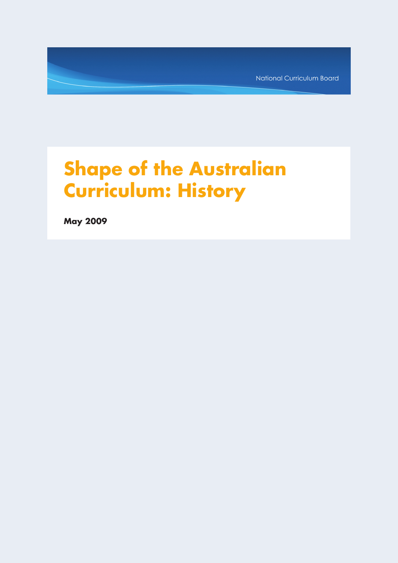National Curriculum Board

# **Shape of the Australian Curriculum: History**

**May 2009**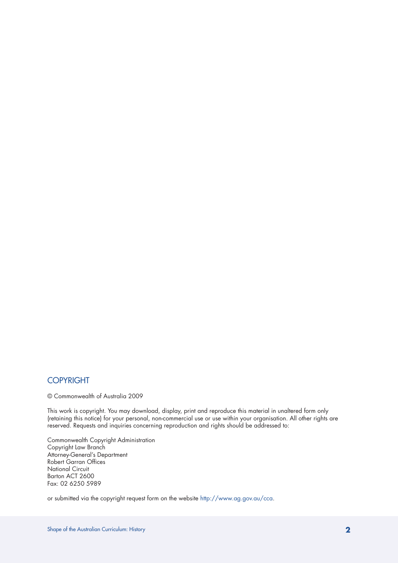# **COPYRIGHT**

© Commonwealth of Australia 2009

This work is copyright. You may download, display, print and reproduce this material in unaltered form only (retaining this notice) for your personal, non-commercial use or use within your organisation. All other rights are reserved. Requests and inquiries concerning reproduction and rights should be addressed to:

Commonwealth Copyright Administration Copyright Law Branch Attorney-General's Department Robert Garran Offices National Circuit Barton ACT 2600 Fax: 02 6250 5989

or submitted via the copyright request form on the website http://www.ag.gov.au/cca.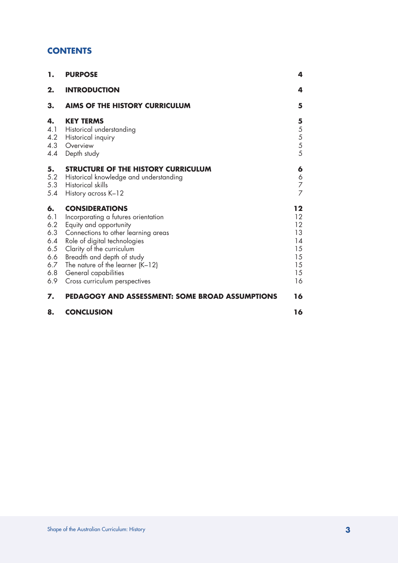# **CONTENTS**

| 1.                                                                | <b>PURPOSE</b>                                                                                                                                                                                                                                                                                                          | 4                                                                     |
|-------------------------------------------------------------------|-------------------------------------------------------------------------------------------------------------------------------------------------------------------------------------------------------------------------------------------------------------------------------------------------------------------------|-----------------------------------------------------------------------|
| 2.                                                                | <b>INTRODUCTION</b>                                                                                                                                                                                                                                                                                                     | 4                                                                     |
| 3.                                                                | <b>AIMS OF THE HISTORY CURRICULUM</b>                                                                                                                                                                                                                                                                                   | 5                                                                     |
| 4.<br>4.1<br>4.2<br>4.3<br>4.4                                    | <b>KEY TERMS</b><br>Historical understanding<br>Historical inquiry<br>Overview<br>Depth study                                                                                                                                                                                                                           | 5<br>$\frac{5}{5}$<br>5                                               |
| 5.<br>5.2<br>5.3<br>5.4                                           | <b>STRUCTURE OF THE HISTORY CURRICULUM</b><br>Historical knowledge and understanding<br><b>Historical skills</b><br>History across K-12                                                                                                                                                                                 | 6<br>6<br>$\overline{7}$<br>7                                         |
| 6.<br>6.1<br>6.2<br>6.3<br>6.4<br>6.5<br>6.6<br>6.7<br>6.8<br>6.9 | <b>CONSIDERATIONS</b><br>Incorporating a futures orientation<br>Equity and opportunity<br>Connections to other learning areas<br>Role of digital technologies<br>Clarity of the curriculum<br>Breadth and depth of study<br>The nature of the learner $(K-12)$<br>General capabilities<br>Cross curriculum perspectives | 12<br>12<br>12 <sup>°</sup><br>13<br>14<br>15<br>15<br>15<br>15<br>16 |
| 7.                                                                | <b>PEDAGOGY AND ASSESSMENT: SOME BROAD ASSUMPTIONS</b>                                                                                                                                                                                                                                                                  | 16                                                                    |
| 8.                                                                | <b>CONCLUSION</b>                                                                                                                                                                                                                                                                                                       | 16                                                                    |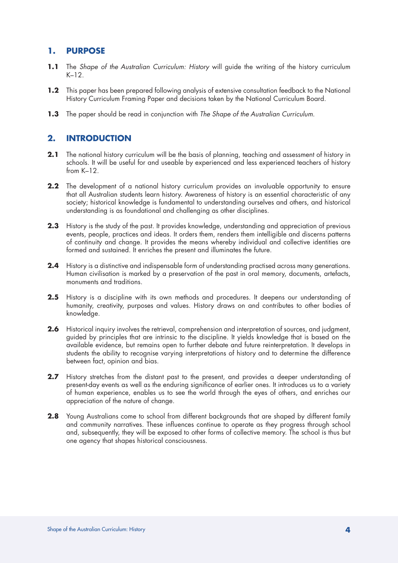# **1. PURPOSE**

- **1.1** The *Shape of the Australian Curriculum: History* will guide the writing of the history curriculum K–12.
- **1.2** This paper has been prepared following analysis of extensive consultation feedback to the National History Curriculum Framing Paper and decisions taken by the National Curriculum Board.
- **1.3** The paper should be read in conjunction with *The Shape of the Australian Curriculum*.

# **2. INTRODUCTION**

- **2.1** The national history curriculum will be the basis of planning, teaching and assessment of history in schools. It will be useful for and useable by experienced and less experienced teachers of history from K–12.
- **2.2** The development of a national history curriculum provides an invaluable opportunity to ensure that all Australian students learn history. Awareness of history is an essential characteristic of any society; historical knowledge is fundamental to understanding ourselves and others, and historical understanding is as foundational and challenging as other disciplines.
- 2.3 History is the study of the past. It provides knowledge, understanding and appreciation of previous events, people, practices and ideas. It orders them, renders them intelligible and discerns patterns of continuity and change. It provides the means whereby individual and collective identities are formed and sustained. It enriches the present and illuminates the future.
- **2.4** History is a distinctive and indispensable form of understanding practised across many generations. Human civilisation is marked by a preservation of the past in oral memory, documents, artefacts, monuments and traditions.
- 2.5 History is a discipline with its own methods and procedures. It deepens our understanding of humanity, creativity, purposes and values. History draws on and contributes to other bodies of knowledge.
- **2.6** Historical inquiry involves the retrieval, comprehension and interpretation of sources, and judgment, guided by principles that are intrinsic to the discipline. It yields knowledge that is based on the available evidence, but remains open to further debate and future reinterpretation. It develops in students the ability to recognise varying interpretations of history and to determine the difference between fact, opinion and bias.
- 2.7 History stretches from the distant past to the present, and provides a deeper understanding of present-day events as well as the enduring significance of earlier ones. It introduces us to a variety of human experience, enables us to see the world through the eyes of others, and enriches our appreciation of the nature of change.
- **2.8** Young Australians come to school from different backgrounds that are shaped by different family and community narratives. These influences continue to operate as they progress through school and, subsequently, they will be exposed to other forms of collective memory. The school is thus but one agency that shapes historical consciousness.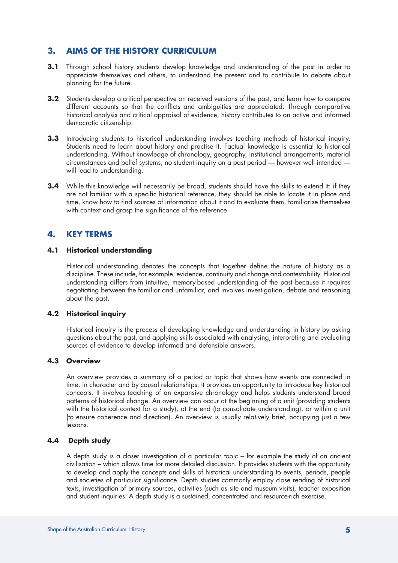# **3. AIMS OF THE HISTORY CURRICULUM**

- **3.1** Through school history students develop knowledge and understanding of the past in order to appreciate themselves and others, to understand the present and to contribute to debate about planning for the future.
- **3.2** Students develop a critical perspective on received versions of the past, and learn how to compare different accounts so that the conflicts and ambiguities are appreciated. Through comparative historical analysis and critical appraisal of evidence, history contributes to an active and informed democratic citizenship.
- **3.3** Introducing students to historical understanding involves teaching methods of historical inquiry. Students need to learn about history and practise it. Factual knowledge is essential to historical understanding. Without knowledge of chronology, geography, institutional arrangements, material circumstances and belief systems, no student inquiry on a past period — however well intended will lead to understanding.
- **3.4** While this knowledge will necessarily be broad, students should have the skills to extend it: if they are not familiar with a specific historical reference, they should be able to locate it in place and time, know how to find sources of information about it and to evaluate them, familiarise themselves with context and grasp the significance of the reference.

# **4. KEY TERMS**

## **4.1 Historical understanding**

Historical understanding denotes the concepts that together define the nature of history as a discipline. These include, for example, evidence, continuity and change and contestability. Historical understanding differs from intuitive, memory-based understanding of the past because it requires negotiating between the familiar and unfamiliar, and involves investigation, debate and reasoning about the past.

## **4.2 Historical inquiry**

Historical inquiry is the process of developing knowledge and understanding in history by asking questions about the past, and applying skills associated with analysing, interpreting and evaluating sources of evidence to develop informed and defensible answers.

## **4.3 Overview**

An overview provides a summary of a period or topic that shows how events are connected in time, in character and by causal relationships. It provides an opportunity to introduce key historical concepts. It involves teaching of an expansive chronology and helps students understand broad patterns of historical change. An overview can occur at the beginning of a unit (providing students with the historical context for a study), at the end (to consolidate understanding), or within a unit (to ensure coherence and direction). An overview is usually relatively brief, occupying just a few lessons.

## **4.4 Depth study**

A depth study is a closer investigation of a particular topic – for example the study of an ancient civilisation – which allows time for more detailed discussion. It provides students with the opportunity to develop and apply the concepts and skills of historical understanding to events, periods, people and societies of particular significance. Depth studies commonly employ close reading of historical texts, investigation of primary sources, activities (such as site and museum visits), teacher exposition and student inquiries. A depth study is a sustained, concentrated and resource-rich exercise.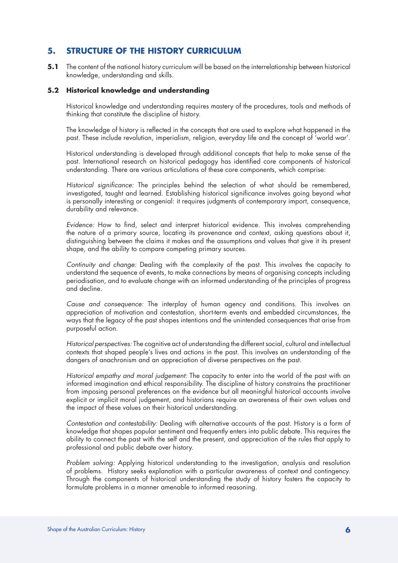# **5. STRUCTURE OF THE HISTORY CURRICULUM**

**5.1** The content of the national history curriculum will be based on the interrelationship between historical knowledge, understanding and skills.

## **5.2 Historical knowledge and understanding**

Historical knowledge and understanding requires mastery of the procedures, tools and methods of thinking that constitute the discipline of history.

The knowledge of history is reflected in the concepts that are used to explore what happened in the past. These include revolution, imperialism, religion, everyday life and the concept of 'world war'.

Historical understanding is developed through additional concepts that help to make sense of the past. International research on historical pedagogy has identified core components of historical understanding. There are various articulations of these core components, which comprise:

*Historical significance:* The principles behind the selection of what should be remembered, investigated, taught and learned. Establishing historical significance involves going beyond what is personally interesting or congenial: it requires judgments of contemporary import, consequence, durability and relevance.

*Evidence:* How to find, select and interpret historical evidence. This involves comprehending the nature of a primary source, locating its provenance and context, asking questions about it, distinguishing between the claims it makes and the assumptions and values that give it its present shape, and the ability to compare competing primary sources.

*Continuity and change:* Dealing with the complexity of the past. This involves the capacity to understand the sequence of events, to make connections by means of organising concepts including periodisation, and to evaluate change with an informed understanding of the principles of progress and decline.

*Cause and consequence:* The interplay of human agency and conditions. This involves an appreciation of motivation and contestation, short-term events and embedded circumstances, the ways that the legacy of the past shapes intentions and the unintended consequences that arise from purposeful action.

*Historical perspectives:* The cognitive act of understanding the different social, cultural and intellectual contexts that shaped people's lives and actions in the past. This involves an understanding of the dangers of anachronism and an appreciation of diverse perspectives on the past.

*Historical empathy and moral judgement:* The capacity to enter into the world of the past with an informed imagination and ethical responsibility. The discipline of history constrains the practitioner from imposing personal preferences on the evidence but all meaningful historical accounts involve explicit or implicit moral judgement, and historians require an awareness of their own values and the impact of these values on their historical understanding.

*Contestation and contestability:* Dealing with alternative accounts of the past. History is a form of knowledge that shapes popular sentiment and frequently enters into public debate. This requires the ability to connect the past with the self and the present, and appreciation of the rules that apply to professional and public debate over history.

*Problem solving:* Applying historical understanding to the investigation, analysis and resolution of problems. History seeks explanation with a particular awareness of context and contingency. Through the components of historical understanding the study of history fosters the capacity to formulate problems in a manner amenable to informed reasoning.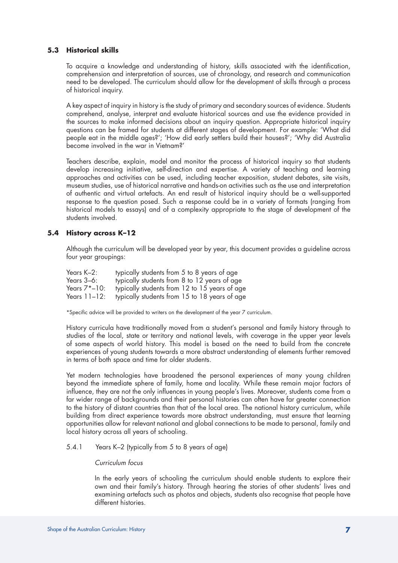## **5.3 Historical skills**

To acquire a knowledge and understanding of history, skills associated with the identification, comprehension and interpretation of sources, use of chronology, and research and communication need to be developed. The curriculum should allow for the development of skills through a process of historical inquiry.

A key aspect of inquiry in history is the study of primary and secondary sources of evidence. Students comprehend, analyse, interpret and evaluate historical sources and use the evidence provided in the sources to make informed decisions about an inquiry question. Appropriate historical inquiry questions can be framed for students at different stages of development. For example: 'What did people eat in the middle ages?'; 'How did early settlers build their houses?'; 'Why did Australia become involved in the war in Vietnam?'

Teachers describe, explain, model and monitor the process of historical inquiry so that students develop increasing initiative, self-direction and expertise. A variety of teaching and learning approaches and activities can be used, including teacher exposition, student debates, site visits, museum studies, use of historical narrative and hands-on activities such as the use and interpretation of authentic and virtual artefacts. An end result of historical inquiry should be a well-supported response to the question posed. Such a response could be in a variety of formats (ranging from historical models to essays) and of a complexity appropriate to the stage of development of the students involved.

## **5.4 History across K–12**

Although the curriculum will be developed year by year, this document provides a guideline across four year groupings:

| Years K-2:      | typically students from 5 to 8 years of age   |
|-----------------|-----------------------------------------------|
| Years 3–6:      | typically students from 8 to 12 years of age  |
| Years $7*-10$ : | typically students from 12 to 15 years of age |
| Years 11-12:    | typically students from 15 to 18 years of age |

\*Specific advice will be provided to writers on the development of the year 7 curriculum.

History curricula have traditionally moved from a student's personal and family history through to studies of the local, state or territory and national levels, with coverage in the upper year levels of some aspects of world history. This model is based on the need to build from the concrete experiences of young students towards a more abstract understanding of elements further removed in terms of both space and time for older students.

Yet modern technologies have broadened the personal experiences of many young children beyond the immediate sphere of family, home and locality. While these remain major factors of influence, they are not the only influences in young people's lives. Moreover, students come from a far wider range of backgrounds and their personal histories can often have far greater connection to the history of distant countries than that of the local area. The national history curriculum, while building from direct experience towards more abstract understanding, must ensure that learning opportunities allow for relevant national and global connections to be made to personal, family and local history across all years of schooling.

## 5.4.1 Years K–2 (typically from 5 to 8 years of age)

#### *Curriculum focus*

In the early years of schooling the curriculum should enable students to explore their own and their family's history. Through hearing the stories of other students' lives and examining artefacts such as photos and objects, students also recognise that people have different histories.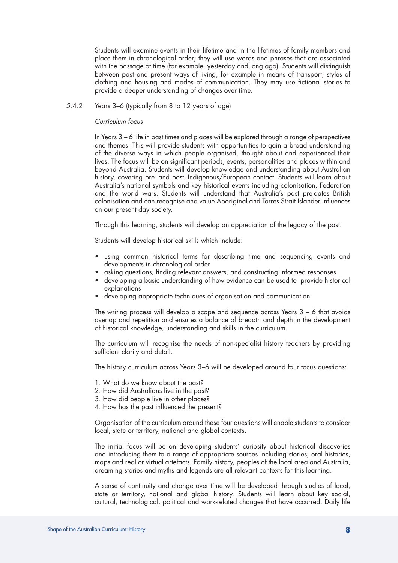Students will examine events in their lifetime and in the lifetimes of family members and place them in chronological order; they will use words and phrases that are associated with the passage of time (for example, yesterday and long ago). Students will distinguish between past and present ways of living, for example in means of transport, styles of clothing and housing and modes of communication. They may use fictional stories to provide a deeper understanding of changes over time.

5.4.2 Years 3–6 (typically from 8 to 12 years of age)

#### *Curriculum focus*

In Years 3 – 6 life in past times and places will be explored through a range of perspectives and themes. This will provide students with opportunities to gain a broad understanding of the diverse ways in which people organised, thought about and experienced their lives. The focus will be on significant periods, events, personalities and places within and beyond Australia. Students will develop knowledge and understanding about Australian history, covering pre- and post- Indigenous/European contact. Students will learn about Australia's national symbols and key historical events including colonisation, Federation and the world wars. Students will understand that Australia's past pre-dates British colonisation and can recognise and value Aboriginal and Torres Strait Islander influences on our present day society.

Through this learning, students will develop an appreciation of the legacy of the past.

Students will develop historical skills which include:

- • using common historical terms for describing time and sequencing events and developments in chronological order
- asking questions, finding relevant answers, and constructing informed responses
- • developing a basic understanding of how evidence can be used to provide historical explanations
- developing appropriate techniques of organisation and communication.

The writing process will develop a scope and sequence across Years 3 – 6 that avoids overlap and repetition and ensures a balance of breadth and depth in the development of historical knowledge, understanding and skills in the curriculum.

The curriculum will recognise the needs of non-specialist history teachers by providing sufficient clarity and detail.

The history curriculum across Years 3–6 will be developed around four focus questions:

- 1. What do we know about the past?
- 2. How did Australians live in the past?
- 3. How did people live in other places?
- 4. How has the past influenced the present?

Organisation of the curriculum around these four questions will enable students to consider local, state or territory, national and global contexts.

The initial focus will be on developing students' curiosity about historical discoveries and introducing them to a range of appropriate sources including stories, oral histories, maps and real or virtual artefacts. Family history, peoples of the local area and Australia, dreaming stories and myths and legends are all relevant contexts for this learning.

A sense of continuity and change over time will be developed through studies of local, state or territory, national and global history. Students will learn about key social, cultural, technological, political and work-related changes that have occurred. Daily life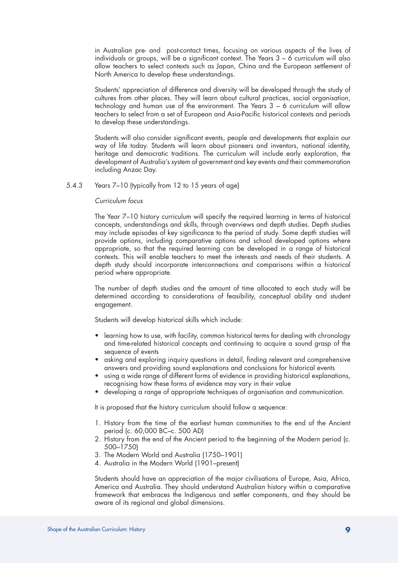in Australian pre- and post-contact times, focusing on various aspects of the lives of individuals or groups, will be a significant context. The Years 3 – 6 curriculum will also allow teachers to select contexts such as Japan, China and the European settlement of North America to develop these understandings.

Students' appreciation of difference and diversity will be developed through the study of cultures from other places. They will learn about cultural practices, social organisation, technology and human use of the environment. The Years 3 – 6 curriculum will allow teachers to select from a set of European and Asia-Pacific historical contexts and periods to develop these understandings.

Students will also consider significant events, people and developments that explain our way of life today. Students will learn about pioneers and inventors, national identity, heritage and democratic traditions. The curriculum will include early exploration, the development of Australia's system of government and key events and their commemoration including Anzac Day.

#### 5.4.3 Years 7–10 (typically from 12 to 15 years of age)

#### *Curriculum focus*

The Year 7–10 history curriculum will specify the required learning in terms of historical concepts, understandings and skills, through overviews and depth studies. Depth studies may include episodes of key significance to the period of study. Some depth studies will provide options, including comparative options and school developed options where appropriate, so that the required learning can be developed in a range of historical contexts. This will enable teachers to meet the interests and needs of their students. A depth study should incorporate interconnections and comparisons within a historical period where appropriate.

The number of depth studies and the amount of time allocated to each study will be determined according to considerations of feasibility, conceptual ability and student engagement.

Students will develop historical skills which include:

- • learning how to use, with facility, common historical terms for dealing with chronology and time-related historical concepts and continuing to acquire a sound grasp of the sequence of events
- asking and exploring inquiry questions in detail, finding relevant and comprehensive answers and providing sound explanations and conclusions for historical events
- using a wide range of different forms of evidence in providing historical explanations, recognising how these forms of evidence may vary in their value
- • developing a range of appropriate techniques of organisation and communication.

It is proposed that the history curriculum should follow a sequence:

- 1. History from the time of the earliest human communities to the end of the Ancient period (c. 60,000 BC–c. 500 AD)
- 2. History from the end of the Ancient period to the beginning of the Modern period (c. 500–1750)
- 3. The Modern World and Australia (1750–1901)
- 4. Australia in the Modern World (1901–present)

Students should have an appreciation of the major civilisations of Europe, Asia, Africa, America and Australia. They should understand Australian history within a comparative framework that embraces the Indigenous and settler components, and they should be aware of its regional and global dimensions.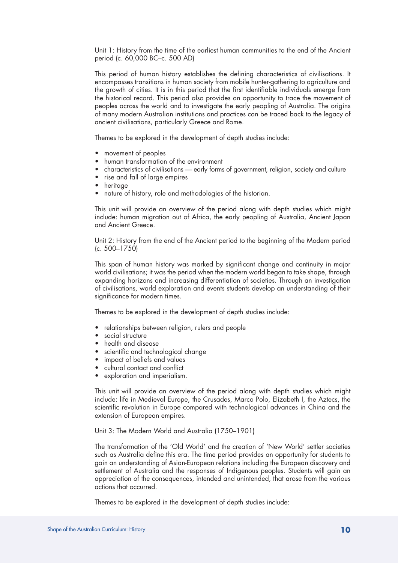Unit 1: History from the time of the earliest human communities to the end of the Ancient period (c. 60,000 BC–c. 500 AD)

This period of human history establishes the defining characteristics of civilisations. It encompasses transitions in human society from mobile hunter-gathering to agriculture and the growth of cities. It is in this period that the first identifiable individuals emerge from the historical record. This period also provides an opportunity to trace the movement of peoples across the world and to investigate the early peopling of Australia. The origins of many modern Australian institutions and practices can be traced back to the legacy of ancient civilisations, particularly Greece and Rome.

Themes to be explored in the development of depth studies include:

- movement of peoples
- human transformation of the environment
- characteristics of civilisations early forms of government, religion, society and culture
- rise and fall of large empires
- heritage
- nature of history, role and methodologies of the historian.

This unit will provide an overview of the period along with depth studies which might include: human migration out of Africa, the early peopling of Australia, Ancient Japan and Ancient Greece.

Unit 2: History from the end of the Ancient period to the beginning of the Modern period (c. 500–1750)

This span of human history was marked by significant change and continuity in major world civilisations; it was the period when the modern world began to take shape, through expanding horizons and increasing differentiation of societies. Through an investigation of civilisations, world exploration and events students develop an understanding of their significance for modern times.

Themes to be explored in the development of depth studies include:

- relationships between religion, rulers and people
- social structure
- health and disease
- scientific and technological change
- impact of beliefs and values
- cultural contact and conflict
- exploration and imperialism.

This unit will provide an overview of the period along with depth studies which might include: life in Medieval Europe, the Crusades, Marco Polo, Elizabeth I, the Aztecs, the scientific revolution in Europe compared with technological advances in China and the extension of European empires.

Unit 3: The Modern World and Australia (1750–1901)

The transformation of the 'Old World' and the creation of 'New World' settler societies such as Australia define this era. The time period provides an opportunity for students to gain an understanding of Asian-European relations including the European discovery and settlement of Australia and the responses of Indigenous peoples. Students will gain an appreciation of the consequences, intended and unintended, that arose from the various actions that occurred.

Themes to be explored in the development of depth studies include: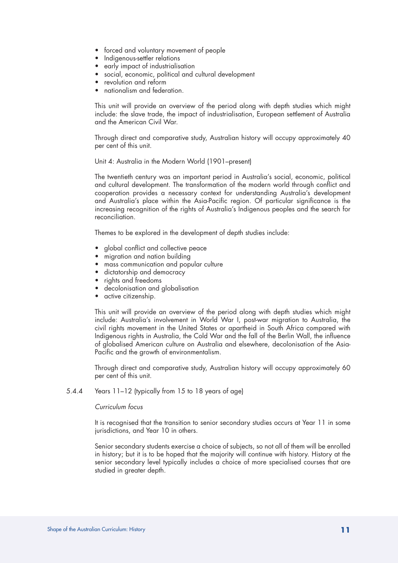- forced and voluntary movement of people
- Indigenous-settler relations
- early impact of industrialisation
- social, economic, political and cultural development
- revolution and reform
- nationalism and federation.

This unit will provide an overview of the period along with depth studies which might include: the slave trade, the impact of industrialisation, European settlement of Australia and the American Civil War.

Through direct and comparative study, Australian history will occupy approximately 40 per cent of this unit.

Unit 4: Australia in the Modern World (1901–present)

The twentieth century was an important period in Australia's social, economic, political and cultural development. The transformation of the modern world through conflict and cooperation provides a necessary context for understanding Australia's development and Australia's place within the Asia-Pacific region. Of particular significance is the increasing recognition of the rights of Australia's Indigenous peoples and the search for reconciliation.

Themes to be explored in the development of depth studies include:

- global conflict and collective peace
- migration and nation building
- mass communication and popular culture
- dictatorship and democracy
- rights and freedoms
- decolonisation and globalisation
- active citizenship.

This unit will provide an overview of the period along with depth studies which might include: Australia's involvement in World War I, post-war migration to Australia, the civil rights movement in the United States or apartheid in South Africa compared with Indigenous rights in Australia, the Cold War and the fall of the Berlin Wall, the influence of globalised American culture on Australia and elsewhere, decolonisation of the Asia-Pacific and the growth of environmentalism.

Through direct and comparative study, Australian history will occupy approximately 60 per cent of this unit.

5.4.4 Years 11–12 (typically from 15 to 18 years of age)

#### *Curriculum focus*

It is recognised that the transition to senior secondary studies occurs at Year 11 in some jurisdictions, and Year 10 in others.

Senior secondary students exercise a choice of subjects, so not all of them will be enrolled in history; but it is to be hoped that the majority will continue with history. History at the senior secondary level typically includes a choice of more specialised courses that are studied in greater depth.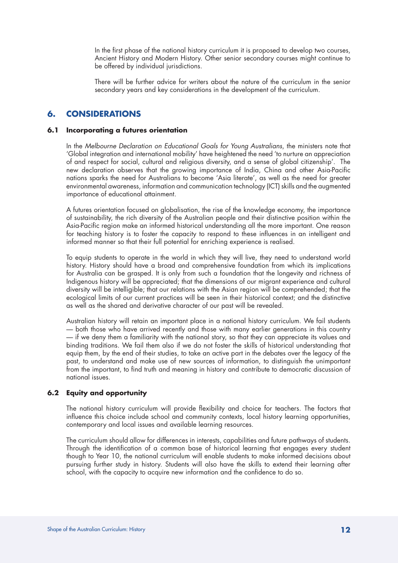In the first phase of the national history curriculum it is proposed to develop two courses, Ancient History and Modern History. Other senior secondary courses might continue to be offered by individual jurisdictions.

There will be further advice for writers about the nature of the curriculum in the senior secondary years and key considerations in the development of the curriculum.

# **6. CONSIDERATIONS**

#### **6.1 Incorporating a futures orientation**

In the *Melbourne Declaration on Educational Goals for Young Australians*, the ministers note that 'Global integration and international mobility' have heightened the need 'to nurture an appreciation of and respect for social, cultural and religious diversity, and a sense of global citizenship'. The new declaration observes that the growing importance of India, China and other Asia-Pacific nations sparks the need for Australians to become 'Asia literate', as well as the need for greater environmental awareness, information and communication technology (ICT) skills and the augmented importance of educational attainment.

A futures orientation focused on globalisation, the rise of the knowledge economy, the importance of sustainability, the rich diversity of the Australian people and their distinctive position within the Asia-Pacific region make an informed historical understanding all the more important. One reason for teaching history is to foster the capacity to respond to these influences in an intelligent and informed manner so that their full potential for enriching experience is realised.

To equip students to operate in the world in which they will live, they need to understand world history. History should have a broad and comprehensive foundation from which its implications for Australia can be grasped. It is only from such a foundation that the longevity and richness of Indigenous history will be appreciated; that the dimensions of our migrant experience and cultural diversity will be intelligible; that our relations with the Asian region will be comprehended; that the ecological limits of our current practices will be seen in their historical context; and the distinctive as well as the shared and derivative character of our past will be revealed.

Australian history will retain an important place in a national history curriculum. We fail students — both those who have arrived recently and those with many earlier generations in this country — if we deny them a familiarity with the national story, so that they can appreciate its values and binding traditions. We fail them also if we do not foster the skills of historical understanding that equip them, by the end of their studies, to take an active part in the debates over the legacy of the past, to understand and make use of new sources of information, to distinguish the unimportant from the important, to find truth and meaning in history and contribute to democratic discussion of national issues.

## **6.2 Equity and opportunity**

The national history curriculum will provide flexibility and choice for teachers. The factors that influence this choice include school and community contexts, local history learning opportunities, contemporary and local issues and available learning resources.

The curriculum should allow for differences in interests, capabilities and future pathways of students. Through the identification of a common base of historical learning that engages every student though to Year 10, the national curriculum will enable students to make informed decisions about pursuing further study in history. Students will also have the skills to extend their learning after school, with the capacity to acquire new information and the confidence to do so.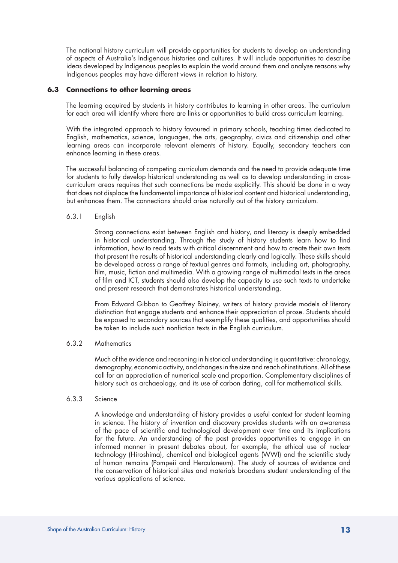The national history curriculum will provide opportunities for students to develop an understanding of aspects of Australia's Indigenous histories and cultures. It will include opportunities to describe ideas developed by Indigenous peoples to explain the world around them and analyse reasons why Indigenous peoples may have different views in relation to history.

## **6.3 Connections to other learning areas**

The learning acquired by students in history contributes to learning in other areas. The curriculum for each area will identify where there are links or opportunities to build cross curriculum learning.

With the integrated approach to history favoured in primary schools, teaching times dedicated to English, mathematics, science, languages, the arts, geography, civics and citizenship and other learning areas can incorporate relevant elements of history. Equally, secondary teachers can enhance learning in these areas.

The successful balancing of competing curriculum demands and the need to provide adequate time for students to fully develop historical understanding as well as to develop understanding in crosscurriculum areas requires that such connections be made explicitly. This should be done in a way that does not displace the fundamental importance of historical content and historical understanding, but enhances them. The connections should arise naturally out of the history curriculum.

## 6.3.1 English

Strong connections exist between English and history, and literacy is deeply embedded in historical understanding. Through the study of history students learn how to find information, how to read texts with critical discernment and how to create their own texts that present the results of historical understanding clearly and logically. These skills should be developed across a range of textual genres and formats, including art, photography, film, music, fiction and multimedia. With a growing range of multimodal texts in the areas of film and ICT, students should also develop the capacity to use such texts to undertake and present research that demonstrates historical understanding.

From Edward Gibbon to Geoffrey Blainey, writers of history provide models of literary distinction that engage students and enhance their appreciation of prose. Students should be exposed to secondary sources that exemplify these qualities, and opportunities should be taken to include such nonfiction texts in the English curriculum.

## 6.3.2 Mathematics

Much of the evidence and reasoning in historical understanding is quantitative: chronology, demography, economic activity, and changes in the size and reach of institutions. All of these call for an appreciation of numerical scale and proportion. Complementary disciplines of history such as archaeology, and its use of carbon dating, call for mathematical skills.

## 6.3.3 Science

A knowledge and understanding of history provides a useful context for student learning in science. The history of invention and discovery provides students with an awareness of the pace of scientific and technological development over time and its implications for the future. An understanding of the past provides opportunities to engage in an informed manner in present debates about, for example, the ethical use of nuclear technology (Hiroshima), chemical and biological agents (WWI) and the scientific study of human remains (Pompeii and Herculaneum). The study of sources of evidence and the conservation of historical sites and materials broadens student understanding of the various applications of science.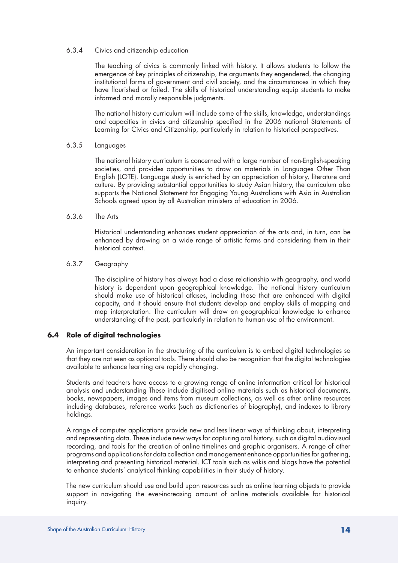## 6.3.4 Civics and citizenship education

The teaching of civics is commonly linked with history. It allows students to follow the emergence of key principles of citizenship, the arguments they engendered, the changing institutional forms of government and civil society, and the circumstances in which they have flourished or failed. The skills of historical understanding equip students to make informed and morally responsible judgments.

The national history curriculum will include some of the skills, knowledge, understandings and capacities in civics and citizenship specified in the 2006 national Statements of Learning for Civics and Citizenship, particularly in relation to historical perspectives.

## 6.3.5 Languages

The national history curriculum is concerned with a large number of non-English-speaking societies, and provides opportunities to draw on materials in Languages Other Than English (LOTE). Language study is enriched by an appreciation of history, literature and culture. By providing substantial opportunities to study Asian history, the curriculum also supports the National Statement for Engaging Young Australians with Asia in Australian Schools agreed upon by all Australian ministers of education in 2006.

## 6.3.6 The Arts

Historical understanding enhances student appreciation of the arts and, in turn, can be enhanced by drawing on a wide range of artistic forms and considering them in their historical context.

## 6.3.7 Geography

The discipline of history has always had a close relationship with geography, and world history is dependent upon geographical knowledge. The national history curriculum should make use of historical atlases, including those that are enhanced with digital capacity, and it should ensure that students develop and employ skills of mapping and map interpretation. The curriculum will draw on geographical knowledge to enhance understanding of the past, particularly in relation to human use of the environment.

## **6.4 Role of digital technologies**

An important consideration in the structuring of the curriculum is to embed digital technologies so that they are not seen as optional tools. There should also be recognition that the digital technologies available to enhance learning are rapidly changing.

Students and teachers have access to a growing range of online information critical for historical analysis and understanding These include digitised online materials such as historical documents, books, newspapers, images and items from museum collections, as well as other online resources including databases, reference works (such as dictionaries of biography), and indexes to library holdings.

A range of computer applications provide new and less linear ways of thinking about, interpreting and representing data. These include new ways for capturing oral history, such as digital audiovisual recording, and tools for the creation of online timelines and graphic organisers. A range of other programs and applications for data collection and management enhance opportunities for gathering, interpreting and presenting historical material. ICT tools such as wikis and blogs have the potential to enhance students' analytical thinking capabilities in their study of history.

The new curriculum should use and build upon resources such as online learning objects to provide support in navigating the ever-increasing amount of online materials available for historical inquiry.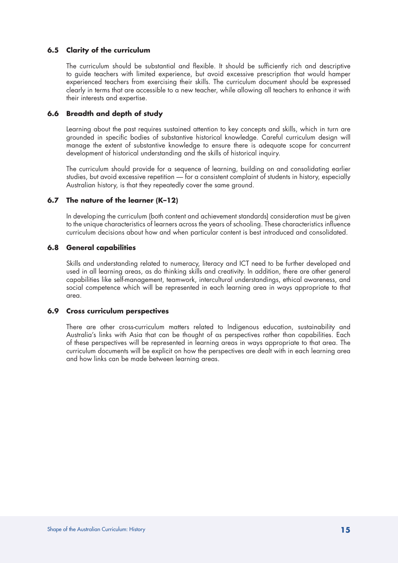## **6.5 Clarity of the curriculum**

The curriculum should be substantial and flexible. It should be sufficiently rich and descriptive to guide teachers with limited experience, but avoid excessive prescription that would hamper experienced teachers from exercising their skills. The curriculum document should be expressed clearly in terms that are accessible to a new teacher, while allowing all teachers to enhance it with their interests and expertise.

## **6.6 Breadth and depth of study**

Learning about the past requires sustained attention to key concepts and skills, which in turn are grounded in specific bodies of substantive historical knowledge. Careful curriculum design will manage the extent of substantive knowledge to ensure there is adequate scope for concurrent development of historical understanding and the skills of historical inquiry.

The curriculum should provide for a sequence of learning, building on and consolidating earlier studies, but avoid excessive repetition — for a consistent complaint of students in history, especially Australian history, is that they repeatedly cover the same ground.

## **6.7 The nature of the learner (K–12)**

In developing the curriculum (both content and achievement standards) consideration must be given to the unique characteristics of learners across the years of schooling. These characteristics influence curriculum decisions about how and when particular content is best introduced and consolidated.

## **6.8 General capabilities**

Skills and understanding related to numeracy, literacy and ICT need to be further developed and used in all learning areas, as do thinking skills and creativity. In addition, there are other general capabilities like self-management, teamwork, intercultural understandings, ethical awareness, and social competence which will be represented in each learning area in ways appropriate to that area.

## **6.9 Cross curriculum perspectives**

There are other cross-curriculum matters related to Indigenous education, sustainability and Australia's links with Asia that can be thought of as perspectives rather than capabilities. Each of these perspectives will be represented in learning areas in ways appropriate to that area. The curriculum documents will be explicit on how the perspectives are dealt with in each learning area and how links can be made between learning areas.